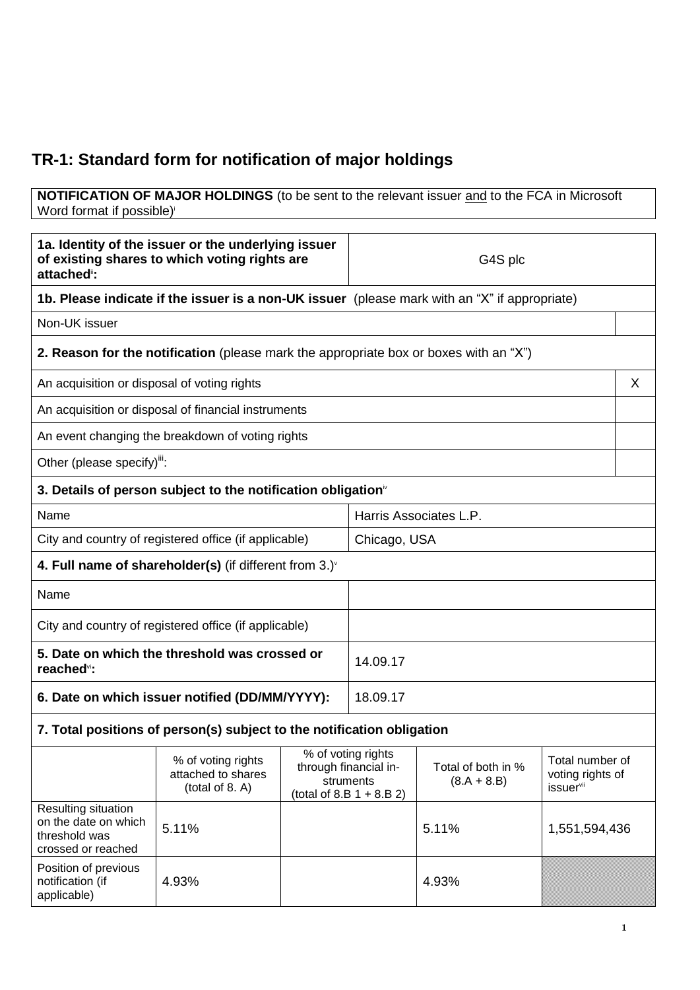## **TR-1: Standard form for notification of major holdings**

## **NOTIFICATION OF MAJOR HOLDINGS** (to be sent to the relevant issuer and to the FCA in Microsoft Word format if possible)

| 1a. Identity of the issuer or the underlying issuer<br>of existing shares to which voting rights are<br>attached <sup>"</sup> : |                                                                                              | G4S plc |                                                                                               |                                     |                                                  |   |
|---------------------------------------------------------------------------------------------------------------------------------|----------------------------------------------------------------------------------------------|---------|-----------------------------------------------------------------------------------------------|-------------------------------------|--------------------------------------------------|---|
|                                                                                                                                 |                                                                                              |         | 1b. Please indicate if the issuer is a non-UK issuer (please mark with an "X" if appropriate) |                                     |                                                  |   |
| Non-UK issuer                                                                                                                   |                                                                                              |         |                                                                                               |                                     |                                                  |   |
|                                                                                                                                 | <b>2. Reason for the notification</b> (please mark the appropriate box or boxes with an "X") |         |                                                                                               |                                     |                                                  |   |
| An acquisition or disposal of voting rights                                                                                     |                                                                                              |         |                                                                                               |                                     |                                                  | X |
|                                                                                                                                 | An acquisition or disposal of financial instruments                                          |         |                                                                                               |                                     |                                                  |   |
|                                                                                                                                 | An event changing the breakdown of voting rights                                             |         |                                                                                               |                                     |                                                  |   |
| Other (please specify)":                                                                                                        |                                                                                              |         |                                                                                               |                                     |                                                  |   |
| 3. Details of person subject to the notification obligation <sup>®</sup>                                                        |                                                                                              |         |                                                                                               |                                     |                                                  |   |
| Name                                                                                                                            |                                                                                              |         | Harris Associates L.P.                                                                        |                                     |                                                  |   |
|                                                                                                                                 | City and country of registered office (if applicable)                                        |         | Chicago, USA                                                                                  |                                     |                                                  |   |
| 4. Full name of shareholder(s) (if different from $3.$ ) $\check{ }$                                                            |                                                                                              |         |                                                                                               |                                     |                                                  |   |
| Name                                                                                                                            |                                                                                              |         |                                                                                               |                                     |                                                  |   |
| City and country of registered office (if applicable)                                                                           |                                                                                              |         |                                                                                               |                                     |                                                  |   |
| 5. Date on which the threshold was crossed or<br>reached <sup>vi</sup> :                                                        |                                                                                              |         | 14.09.17                                                                                      |                                     |                                                  |   |
| 6. Date on which issuer notified (DD/MM/YYYY):                                                                                  |                                                                                              |         | 18.09.17                                                                                      |                                     |                                                  |   |
|                                                                                                                                 | 7. Total positions of person(s) subject to the notification obligation                       |         |                                                                                               |                                     |                                                  |   |
|                                                                                                                                 | % of voting rights<br>attached to shares<br>(total of 8. A)                                  |         | % of voting rights<br>through financial in-<br>struments<br>(total of 8.B $1 + 8.B 2$ )       | Total of both in %<br>$(8.A + 8.B)$ | Total number of<br>voting rights of<br>issuervii |   |
| Resulting situation<br>on the date on which<br>threshold was<br>crossed or reached                                              | 5.11%                                                                                        |         |                                                                                               | 5.11%                               | 1,551,594,436                                    |   |
| Position of previous<br>notification (if<br>applicable)                                                                         | 4.93%                                                                                        |         |                                                                                               | 4.93%                               |                                                  |   |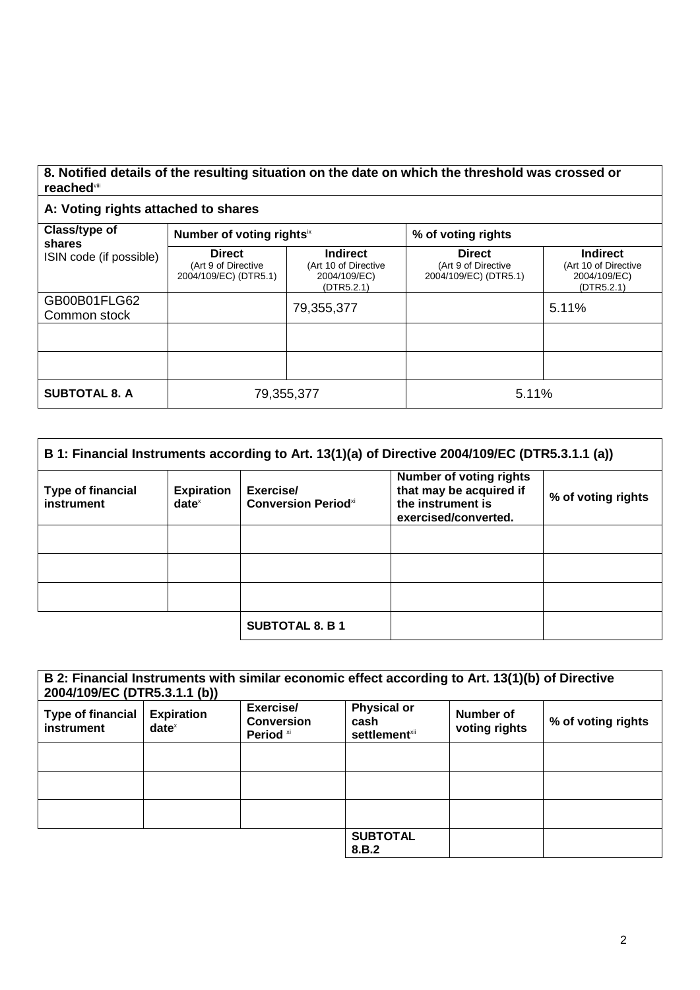## **8. Notified details of the resulting situation on the date on which the threshold was crossed or**  reached<sup>viii</sup>

## **A: Voting rights attached to shares**

| Class/type of<br>shares      | Number of voting rightsix                                     |                                                                       | % of voting rights                                            |                                                                       |
|------------------------------|---------------------------------------------------------------|-----------------------------------------------------------------------|---------------------------------------------------------------|-----------------------------------------------------------------------|
| ISIN code (if possible)      | <b>Direct</b><br>(Art 9 of Directive<br>2004/109/EC) (DTR5.1) | <b>Indirect</b><br>(Art 10 of Directive<br>2004/109/EC)<br>(DTR5.2.1) | <b>Direct</b><br>(Art 9 of Directive<br>2004/109/EC) (DTR5.1) | <b>Indirect</b><br>(Art 10 of Directive<br>2004/109/EC)<br>(DTR5.2.1) |
| GB00B01FLG62<br>Common stock |                                                               | 79,355,377                                                            |                                                               | 5.11%                                                                 |
|                              |                                                               |                                                                       |                                                               |                                                                       |
|                              |                                                               |                                                                       |                                                               |                                                                       |
| <b>SUBTOTAL 8. A</b>         | 79,355,377                                                    |                                                                       | 5.11%                                                         |                                                                       |

| B 1: Financial Instruments according to Art. 13(1)(a) of Directive 2004/109/EC (DTR5.3.1.1 (a)) |                               |                                                     |                                                                                                        |                    |
|-------------------------------------------------------------------------------------------------|-------------------------------|-----------------------------------------------------|--------------------------------------------------------------------------------------------------------|--------------------|
| <b>Type of financial</b><br>instrument                                                          | <b>Expiration</b><br>$date^x$ | Exercise/<br><b>Conversion Period</b> <sup>xi</sup> | <b>Number of voting rights</b><br>that may be acquired if<br>the instrument is<br>exercised/converted. | % of voting rights |
|                                                                                                 |                               |                                                     |                                                                                                        |                    |
|                                                                                                 |                               |                                                     |                                                                                                        |                    |
|                                                                                                 |                               |                                                     |                                                                                                        |                    |
|                                                                                                 |                               | <b>SUBTOTAL 8. B 1</b>                              |                                                                                                        |                    |

| 2004/109/EC (DTR5.3.1.1 (b))    |                               |                                             | B 2: Financial Instruments with similar economic effect according to Art. 13(1)(b) of Directive |                            |                    |
|---------------------------------|-------------------------------|---------------------------------------------|-------------------------------------------------------------------------------------------------|----------------------------|--------------------|
| Type of financial<br>instrument | <b>Expiration</b><br>$date^x$ | Exercise/<br><b>Conversion</b><br>Period xi | <b>Physical or</b><br>cash<br><b>settlement</b> <sup>xii</sup>                                  | Number of<br>voting rights | % of voting rights |
|                                 |                               |                                             |                                                                                                 |                            |                    |
|                                 |                               |                                             |                                                                                                 |                            |                    |
|                                 |                               |                                             |                                                                                                 |                            |                    |
|                                 |                               |                                             | <b>SUBTOTAL</b><br>8.B.2                                                                        |                            |                    |